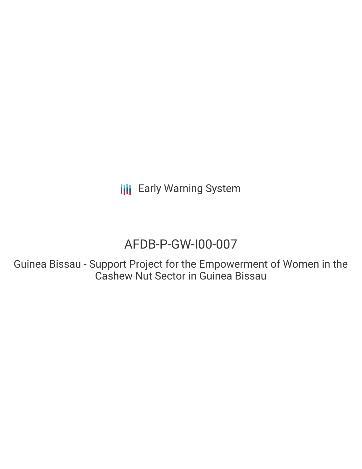**III** Early Warning System

# AFDB-P-GW-I00-007

Guinea Bissau - Support Project for the Empowerment of Women in the Cashew Nut Sector in Guinea Bissau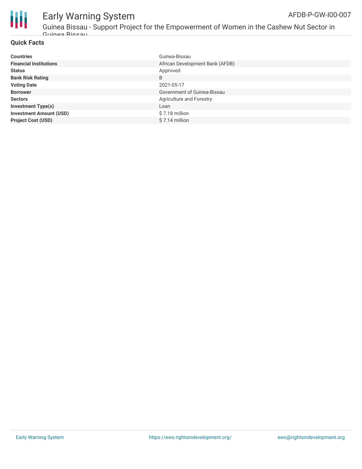

### Early Warning System AFDB-P-GW-I00-007

Guinea Bissau - Support Project for the Empowerment of Women in the Cashew Nut Sector in Guinea Bissau

### **Quick Facts**

| <b>Countries</b>               | Guinea-Bissau                   |
|--------------------------------|---------------------------------|
| <b>Financial Institutions</b>  | African Development Bank (AFDB) |
| <b>Status</b>                  | Approved                        |
| <b>Bank Risk Rating</b>        | B                               |
| <b>Voting Date</b>             | 2021-05-17                      |
| <b>Borrower</b>                | Government of Guinea-Bissau     |
| <b>Sectors</b>                 | Agriculture and Forestry        |
| <b>Investment Type(s)</b>      | Loan                            |
| <b>Investment Amount (USD)</b> | \$7.18 million                  |
| <b>Project Cost (USD)</b>      | \$7.14 million                  |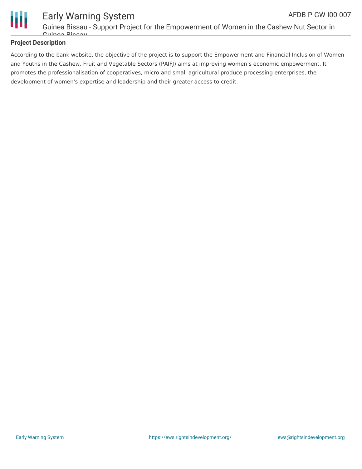

#### Early Warning System Guinea Bissau - Support Project for the Empowerment of Women in the Cashew Nut Sector in Guinea Bissau AFDB-P-GW-I00-007

### **Project Description**

According to the bank website, the objective of the project is to support the Empowerment and Financial Inclusion of Women and Youths in the Cashew, Fruit and Vegetable Sectors (PAIFJ) aims at improving women's economic empowerment. It promotes the professionalisation of cooperatives, micro and small agricultural produce processing enterprises, the development of women's expertise and leadership and their greater access to credit.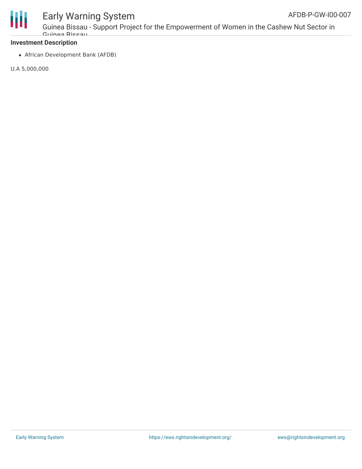

# Early Warning System

Guinea Bissau - Support Project for the Empowerment of Women in the Cashew Nut Sector in Guinea Bissau

### **Investment Description**

African Development Bank (AFDB)

U.A 5,000,000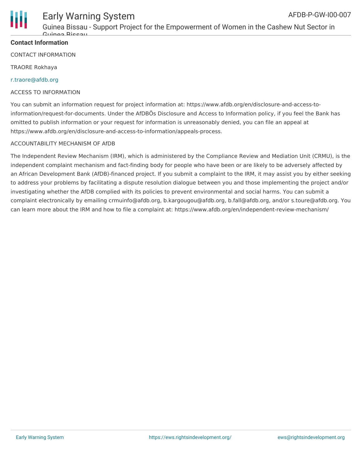

### Early Warning System AFDB-P-GW-I00-007

Guinea Bissau - Support Project for the Empowerment of Women in the Cashew Nut Sector in Guinea Bissau

### **Contact Information**

CONTACT INFORMATION

TRAORE Rokhaya

### [r.traore@afdb.org](mailto:r.traore@afdb.org)

### ACCESS TO INFORMATION

You can submit an information request for project information at: https://www.afdb.org/en/disclosure-and-access-toinformation/request-for-documents. Under the AfDBÕs Disclosure and Access to Information policy, if you feel the Bank has omitted to publish information or your request for information is unreasonably denied, you can file an appeal at https://www.afdb.org/en/disclosure-and-access-to-information/appeals-process.

### ACCOUNTABILITY MECHANISM OF AfDB

The Independent Review Mechanism (IRM), which is administered by the Compliance Review and Mediation Unit (CRMU), is the independent complaint mechanism and fact-finding body for people who have been or are likely to be adversely affected by an African Development Bank (AfDB)-financed project. If you submit a complaint to the IRM, it may assist you by either seeking to address your problems by facilitating a dispute resolution dialogue between you and those implementing the project and/or investigating whether the AfDB complied with its policies to prevent environmental and social harms. You can submit a complaint electronically by emailing crmuinfo@afdb.org, b.kargougou@afdb.org, b.fall@afdb.org, and/or s.toure@afdb.org. You can learn more about the IRM and how to file a complaint at: https://www.afdb.org/en/independent-review-mechanism/